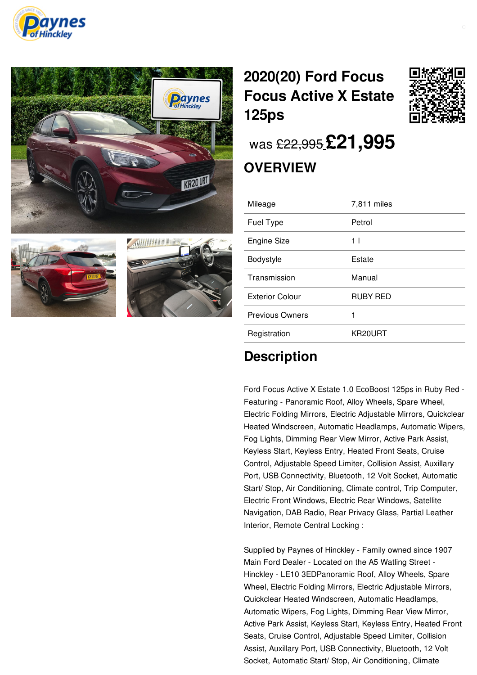







## **[2020\(20\)](/used-cars/pdf/) Ford Focus Focus Active X Estate 125ps**



was [£22,995](/used-cars/pdf/) **[£21,995](/used-cars/pdf/)**

## **OVERVIEW**

| Mileage                | 7,811 miles    |
|------------------------|----------------|
| Fuel Type              | Petrol         |
| <b>Engine Size</b>     | 1 <sub>1</sub> |
| Bodystyle              | Estate         |
| Transmission           | Manual         |
| <b>Exterior Colour</b> | RUBY RED       |
| <b>Previous Owners</b> | 1              |
| Registration           | KR20URT        |

## **Description**

Ford Focus Active X Estate 1.0 EcoBoost 125ps in Ruby Red - Featuring - Panoramic Roof, Alloy Wheels, Spare Wheel, Electric Folding Mirrors, Electric Adjustable Mirrors, Quickclear Heated Windscreen, Automatic Headlamps, Automatic Wipers, Fog Lights, Dimming Rear View Mirror, Active Park Assist, Keyless Start, Keyless Entry, Heated Front Seats, Cruise Control, Adjustable Speed Limiter, Collision Assist, Auxillary Port, USB Connectivity, Bluetooth, 12 Volt Socket, Automatic Start/ Stop, Air Conditioning, Climate control, Trip Computer, Electric Front Windows, Electric Rear Windows, Satellite Navigation, DAB Radio, Rear Privacy Glass, Partial Leather Interior, Remote Central Locking :

Supplied by Paynes of Hinckley - Family owned since 1907 Main Ford Dealer - Located on the A5 Watling Street - Hinckley - LE10 3EDPanoramic Roof, Alloy Wheels, Spare Wheel, Electric Folding Mirrors, Electric Adjustable Mirrors, Quickclear Heated Windscreen, Automatic Headlamps, Automatic Wipers, Fog Lights, Dimming Rear View Mirror, Active Park Assist, Keyless Start, Keyless Entry, Heated Front Seats, Cruise Control, Adjustable Speed Limiter, Collision Assist, Auxillary Port, USB Connectivity, Bluetooth, 12 Volt Socket, Automatic Start/ Stop, Air Conditioning, Climate